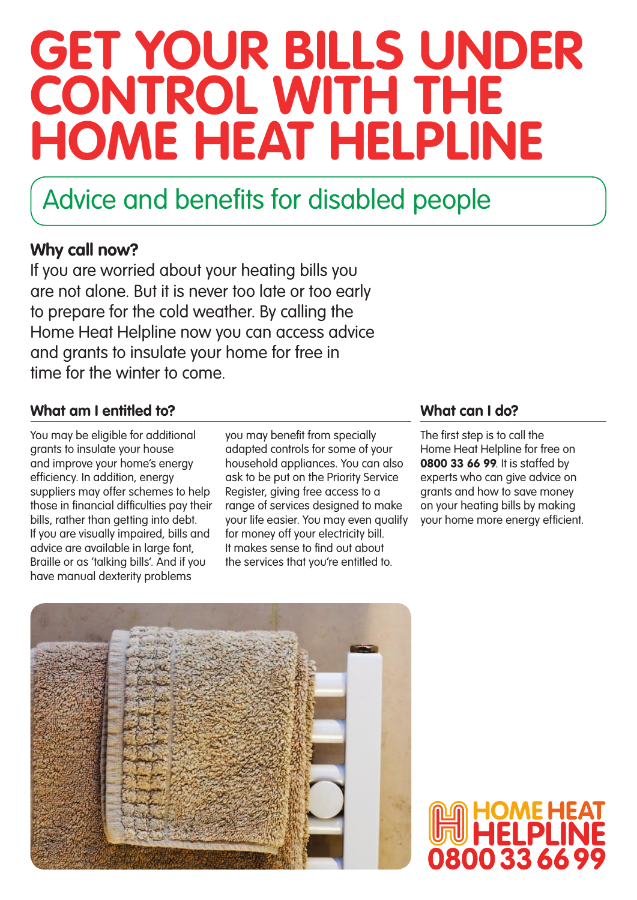# **Get your bills under CONTROL WITH THE Home Heat Helpline**

### Advice and benefits for disabled people

### **Why call now?**

If you are worried about your heating bills you are not alone. But it is never too late or too early to prepare for the cold weather. By calling the Home Heat Helpline now you can access advice and grants to insulate your home for free in time for the winter to come.

#### **What am I entitled to? What can I do?**

You may be eligible for additional grants to insulate your house and improve your home's energy efficiency. In addition, energy suppliers may offer schemes to help those in financial difficulties pay their bills, rather than getting into debt. If you are visually impaired, bills and advice are available in large font, Braille or as 'talking bills'. And if you have manual dexterity problems

you may benefit from specially adapted controls for some of your household appliances. You can also ask to be put on the Priority Service Register, giving free access to a range of services designed to make your life easier. You may even qualify for money off your electricity bill. It makes sense to find out about the services that you're entitled to.

The first step is to call the Home Heat Helpline for free on **0800 33 66 99**. It is staffed by experts who can give advice on grants and how to save money on your heating bills by making your home more energy efficient.

80033669